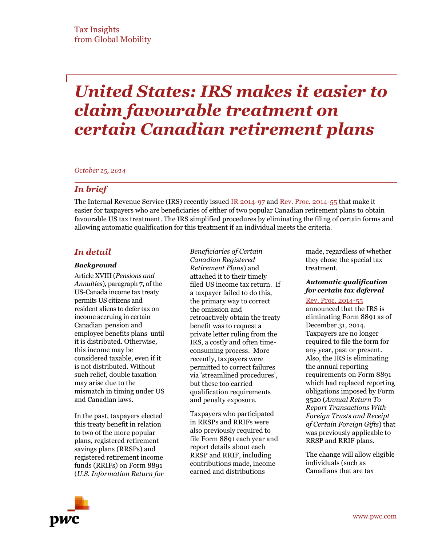# *United States: IRS makes it easier to claim favourable treatment on certain Canadian retirement plans*

*October 15, 2014*

# *In brief*

The Internal Revenue Service (IRS) recently issued [IR 2014-97](http://www.irs.gov/uac/Newsroom/IRS-Simplifies-Procedures-for-Favorable-Tax-Treatment-on-Canadian-Retirement-Plans-and-Annual-Reporting-Requirements) and [Rev. Proc. 2014-55](http://www.irs.gov/pub/irs-drop/rp-14-55.pdf) that make it easier for taxpayers who are beneficiaries of either of two popular Canadian retirement plans to obtain favourable US tax treatment. The IRS simplified procedures by eliminating the filing of certain forms and allowing automatic qualification for this treatment if an individual meets the criteria.

# *In detail*

### *Background*

Article XVIII (*Pensions and Annuities*), paragraph 7, of the US-Canada income tax treaty permits US citizens and resident aliens to defer tax on income accruing in certain Canadian pension and employee benefits plans until it is distributed. Otherwise, this income may be considered taxable, even if it is not distributed. Without such relief, double taxation may arise due to the mismatch in timing under US and Canadian laws.

In the past, taxpayers elected this treaty benefit in relation to two of the more popular plans, registered retirement savings plans (RRSPs) and registered retirement income funds (RRIFs) on Form 8891 (*U.S. Information Return for*  *Beneficiaries of Certain Canadian Registered Retirement Plans*) and attached it to their timely filed US income tax return. If a taxpayer failed to do this, the primary way to correct the omission and retroactively obtain the treaty benefit was to request a private letter ruling from the IRS, a costly and often timeconsuming process. More recently, taxpayers were permitted to correct failures via 'streamlined procedures', but these too carried qualification requirements and penalty exposure.

Taxpayers who participated in RRSPs and RRIFs were also previously required to file Form 8891 each year and report details about each RRSP and RRIF, including contributions made, income earned and distributions

made, regardless of whether they chose the special tax treatment.

### *Automatic qualification for certain tax deferral*

## [Rev. Proc. 2014-55](http://www.irs.gov/pub/irs-drop/rp-14-55.pdf)

announced that the IRS is eliminating Form 8891 as of December 31, 2014. Taxpayers are no longer required to file the form for any year, past or present. Also, the IRS is eliminating the annual reporting requirements on Form 8891 which had replaced reporting obligations imposed by Form 3520 (*Annual Return To Report Transactions With Foreign Trusts and Receipt of Certain Foreign Gifts*) that was previously applicable to RRSP and RRIF plans.

The change will allow eligible individuals (such as Canadians that are tax